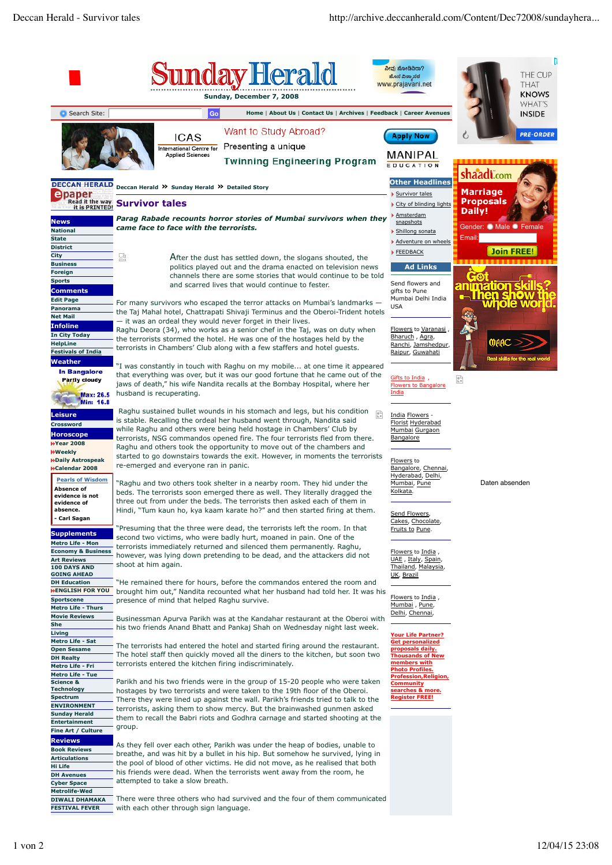